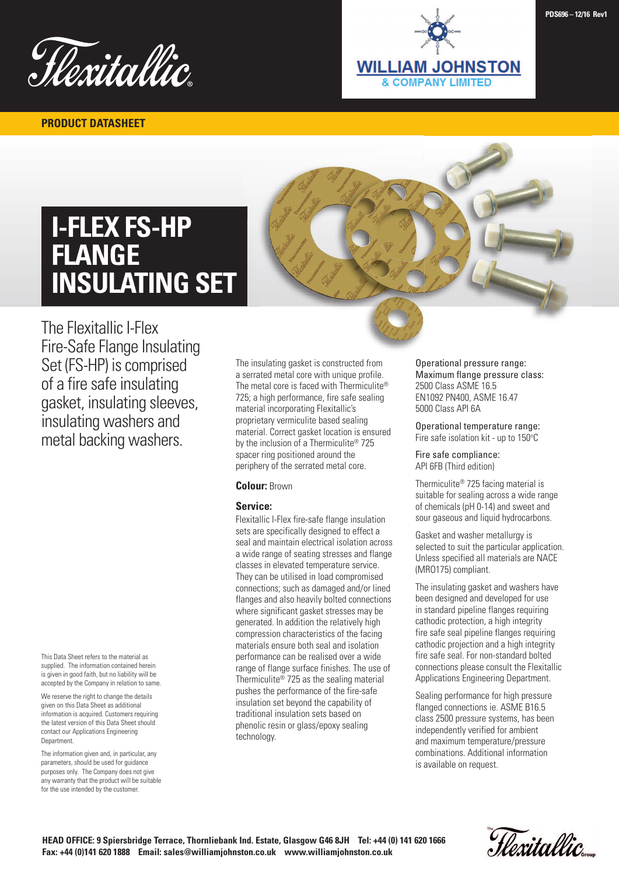

**PRODUCT DATASHEET**

**WILLIAM JOHNSTON & COMPANY LIMITED** 

# **I-FLEX FS-HP FLANGE INSULATING SET**



The Flexitallic I-Flex Fire-Safe Flange Insulating Set (FS-HP) is comprised of a fire safe insulating gasket, insulating sleeves, insulating washers and metal backing washers.

This Data Sheet refers to the material as supplied. The information contained herein is given in good faith, but no liability will be accepted by the Company in relation to same.

We reserve the right to change the details given on this Data Sheet as additional information is acquired. Customers requiring the latest version of this Data Sheet should contact our Applications Engineering Department.

The information given and, in particular, any parameters, should be used for guidance purposes only. The Company does not give any warranty that the product will be suitable for the use intended by the customer.

The insulating gasket is constructed from a serrated metal core with unique profile. The metal core is faced with Thermiculite® 725; a high performance, fire safe sealing material incorporating Flexitallic's proprietary vermiculite based sealing material. Correct gasket location is ensured by the inclusion of a Thermiculite® 725 spacer ring positioned around the periphery of the serrated metal core.

## **Colour:** Brown

### **Service:**

Flexitallic I-Flex fire-safe flange insulation sets are specifically designed to effect a seal and maintain electrical isolation across a wide range of seating stresses and flange classes in elevated temperature service. They can be utilised in load compromised connections; such as damaged and/or lined flanges and also heavily bolted connections where significant gasket stresses may be generated. In addition the relatively high compression characteristics of the facing materials ensure both seal and isolation performance can be realised over a wide range of flange surface finishes. The use of Thermiculite® 725 as the sealing material pushes the performance of the fire-safe insulation set beyond the capability of traditional insulation sets based on phenolic resin or glass/epoxy sealing technology.

Operational pressure range: Maximum flange pressure class: 2500 Class ASME 16.5 EN1092 PN400, ASME 16.47 5000 Class API 6A

Operational temperature range: Fire safe isolation kit - up to 150°C

Fire safe compliance: API 6FB (Third edition)

Thermiculite® 725 facing material is suitable for sealing across a wide range of chemicals (pH 0-14) and sweet and sour gaseous and liquid hydrocarbons.

Gasket and washer metallurgy is selected to suit the particular application. Unless specified all materials are NACE (MRO175) compliant.

The insulating gasket and washers have been designed and developed for use in standard pipeline flanges requiring cathodic protection, a high integrity fire safe seal pipeline flanges requiring cathodic projection and a high integrity fire safe seal. For non-standard bolted connections please consult the Flexitallic Applications Engineering Department.

Sealing performance for high pressure flanged connections ie. ASME B16.5 class 2500 pressure systems, has been independently verified for ambient and maximum temperature/pressure combinations. Additional information is available on request.

Hexitallic